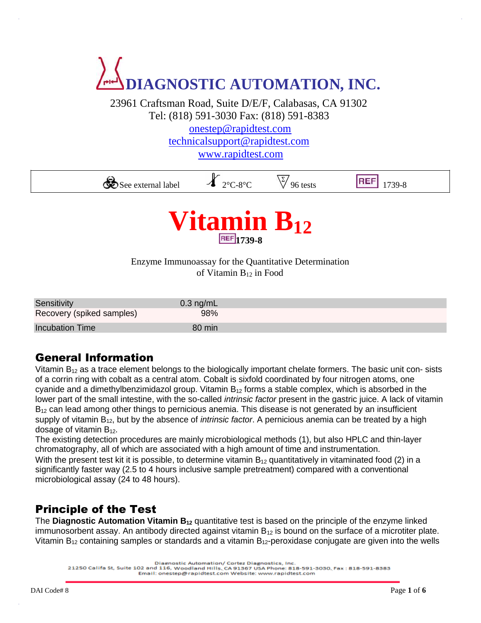# **DIAGNOSTIC AUTOMATION, INC.**

23961 Craftsman Road, Suite D/E/F, Calabasas, CA 91302 Tel: (818) 591-3030 Fax: (818) 591-8383

onestep@rapidtest.com

technicalsupport@rapidtest.com

www.rapidtest.com

| $\rightarrow$<br>See external label | ⊮<br>$2^{\circ}$ C-8 $^{\circ}$ C<br>-1 | 96 tests | <b>DEF</b><br>739-8 |  |
|-------------------------------------|-----------------------------------------|----------|---------------------|--|
|                                     |                                         |          |                     |  |



Enzyme Immunoassay for the Quantitative Determination of Vitamin B<sup>12</sup> in Food

| Sensitivity               | $0.3 \text{ ng/mL}$ |  |
|---------------------------|---------------------|--|
| Recovery (spiked samples) | 98%                 |  |
| <b>Incubation Time</b>    | 80 min              |  |

## General Information

Vitamin  $B_{12}$  as a trace element belongs to the biologically important chelate formers. The basic unit con- sists of a corrin ring with cobalt as a central atom. Cobalt is sixfold coordinated by four nitrogen atoms, one cyanide and a dimethylbenzimidazol group. Vitamin  $B_{12}$  forms a stable complex, which is absorbed in the lower part of the small intestine, with the so-called *intrinsic factor* present in the gastric juice. A lack of vitamin  $B_{12}$  can lead among other things to pernicious anemia. This disease is not generated by an insufficient supply of vitamin B<sub>12</sub>, but by the absence of *intrinsic factor*. A pernicious anemia can be treated by a high dosage of vitamin B12.

The existing detection procedures are mainly microbiological methods (1), but also HPLC and thin-layer chromatography, all of which are associated with a high amount of time and instrumentation. With the present test kit it is possible, to determine vitamin  $B_{12}$  quantitatively in vitaminated food (2) in a significantly faster way (2.5 to 4 hours inclusive sample pretreatment) compared with a conventional microbiological assay (24 to 48 hours).

## Principle of the Test

The **Diagnostic Automation Vitamin B<sup>12</sup>** quantitative test is based on the principle of the enzyme linked immunosorbent assay. An antibody directed against vitamin  $B_{12}$  is bound on the surface of a microtiter plate. Vitamin  $B_{12}$  containing samples or standards and a vitamin  $B_{12}$ -peroxidase conjugate are given into the wells

Diagnostic Automation/ Cortez Diagnostics, Inc. 21250 Califa St. Suite 102 and 116. Woodland Hills, CA 91367 USA Phone: 818-591-3030, Fax : 818-591-8383 Email: onestep@rapidtest.com Website: www.rapidtest.com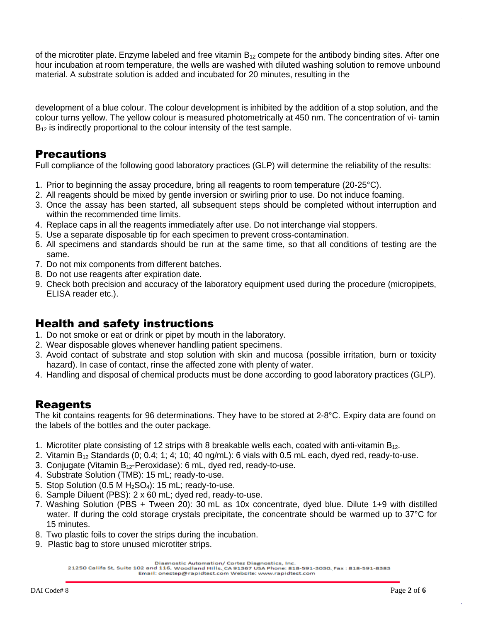of the microtiter plate. Enzyme labeled and free vitamin  $B_{12}$  compete for the antibody binding sites. After one hour incubation at room temperature, the wells are washed with diluted washing solution to remove unbound material. A substrate solution is added and incubated for 20 minutes, resulting in the

development of a blue colour. The colour development is inhibited by the addition of a stop solution, and the colour turns yellow. The yellow colour is measured photometrically at 450 nm. The concentration of vi- tamin  $B_{12}$  is indirectly proportional to the colour intensity of the test sample.

## **Precautions**

Full compliance of the following good laboratory practices (GLP) will determine the reliability of the results:

- 1. Prior to beginning the assay procedure, bring all reagents to room temperature (20-25°C).
- 2. All reagents should be mixed by gentle inversion or swirling prior to use. Do not induce foaming.
- 3. Once the assay has been started, all subsequent steps should be completed without interruption and within the recommended time limits.
- 4. Replace caps in all the reagents immediately after use. Do not interchange vial stoppers.
- 5. Use a separate disposable tip for each specimen to prevent cross-contamination.
- 6. All specimens and standards should be run at the same time, so that all conditions of testing are the same.
- 7. Do not mix components from different batches.
- 8. Do not use reagents after expiration date.
- 9. Check both precision and accuracy of the laboratory equipment used during the procedure (micropipets, ELISA reader etc.).

## Health and safety instructions

- 1. Do not smoke or eat or drink or pipet by mouth in the laboratory.
- 2. Wear disposable gloves whenever handling patient specimens.
- 3. Avoid contact of substrate and stop solution with skin and mucosa (possible irritation, burn or toxicity hazard). In case of contact, rinse the affected zone with plenty of water.
- 4. Handling and disposal of chemical products must be done according to good laboratory practices (GLP).

## **Reagents**

The kit contains reagents for 96 determinations. They have to be stored at 2-8°C. Expiry data are found on the labels of the bottles and the outer package.

- 1. Microtiter plate consisting of 12 strips with 8 breakable wells each, coated with anti-vitamin  $B_{12}$ .
- 2. Vitamin  $B_{12}$  Standards (0; 0.4; 1; 4; 10; 40 ng/mL): 6 vials with 0.5 mL each, dyed red, ready-to-use.
- 3. Conjugate (Vitamin  $B_{12}$ -Peroxidase): 6 mL, dyed red, ready-to-use.
- 4. Substrate Solution (TMB): 15 mL; ready-to-use.
- 5. Stop Solution  $(0.5 M H<sub>2</sub>SO<sub>4</sub>)$ : 15 mL; ready-to-use.
- 6. Sample Diluent (PBS): 2 x 60 mL; dyed red, ready-to-use.
- 7. Washing Solution (PBS + Tween 20): 30 mL as 10x concentrate, dyed blue. Dilute 1+9 with distilled water. If during the cold storage crystals precipitate, the concentrate should be warmed up to 37°C for 15 minutes.
- 8. Two plastic foils to cover the strips during the incubation.
- 9. Plastic bag to store unused microtiter strips.

**Diagnostic Automation/ Cortez Diagnostics, Inc.** 

21250 Califa St. Suite 102 and 116. Woodland Hills, CA 91367 USA Phone: 818-591-3030, Fax : 818-591-8383 Email: onestep@rapidtest.com Website: www.rapidtest.com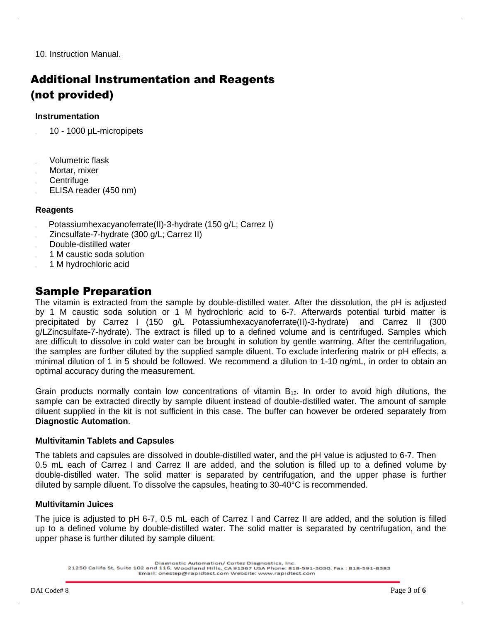10. Instruction Manual.

# Additional Instrumentation and Reagents (not provided)

#### **Instrumentation**

10 - 1000 µL-micropipets

- Volumetric flask
- Mortar, mixer
- Centrifuge
- ELISA reader (450 nm)

#### **Reagents**

- Potassiumhexacyanoferrate(II)-3-hydrate (150 g/L; Carrez I)
- Zincsulfate-7-hydrate (300 g/L; Carrez II)
- Double-distilled water
- 1 M caustic soda solution
- 1 M hydrochloric acid

## Sample Preparation

The vitamin is extracted from the sample by double-distilled water. After the dissolution, the pH is adjusted by 1 M caustic soda solution or 1 M hydrochloric acid to 6-7. Afterwards potential turbid matter is precipitated by Carrez I (150 g/L Potassiumhexacyanoferrate(II)-3-hydrate) and Carrez II (300 g/LZincsulfate-7-hydrate). The extract is filled up to a defined volume and is centrifuged. Samples which are difficult to dissolve in cold water can be brought in solution by gentle warming. After the centrifugation, the samples are further diluted by the supplied sample diluent. To exclude interfering matrix or pH effects, a minimal dilution of 1 in 5 should be followed. We recommend a dilution to 1-10 ng/mL, in order to obtain an optimal accuracy during the measurement.

Grain products normally contain low concentrations of vitamin  $B_{12}$ . In order to avoid high dilutions, the sample can be extracted directly by sample diluent instead of double-distilled water. The amount of sample diluent supplied in the kit is not sufficient in this case. The buffer can however be ordered separately from **Diagnostic Automation**.

#### **Multivitamin Tablets and Capsules**

The tablets and capsules are dissolved in double-distilled water, and the pH value is adjusted to 6-7. Then 0.5 mL each of Carrez I and Carrez II are added, and the solution is filled up to a defined volume by double-distilled water. The solid matter is separated by centrifugation, and the upper phase is further diluted by sample diluent. To dissolve the capsules, heating to 30-40°C is recommended.

#### **Multivitamin Juices**

The juice is adjusted to pH 6-7, 0.5 mL each of Carrez I and Carrez II are added, and the solution is filled up to a defined volume by double-distilled water. The solid matter is separated by centrifugation, and the upper phase is further diluted by sample diluent.

21250 Califa St. Suite 102 and 116. Woodland Hills, CA 91367 USA Phone: 818-591-3030, Eax : 818-591-8383 Email: onestep@rapidtest.com Website: www.rapidtest.com

**Diagnostic Automation/ Cortez Diagnostics, Inc.**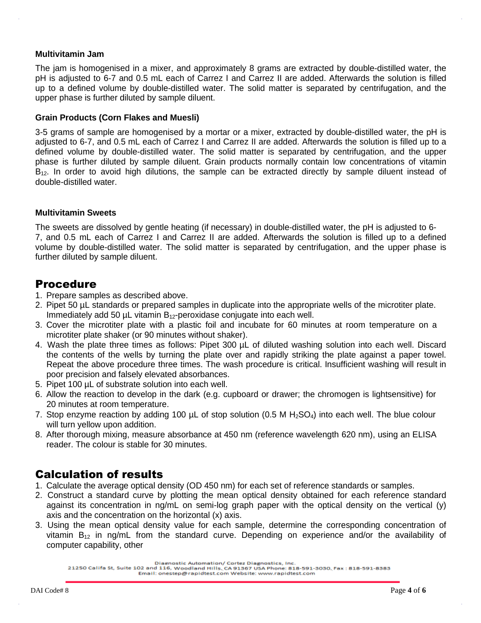#### **Multivitamin Jam**

The jam is homogenised in a mixer, and approximately 8 grams are extracted by double-distilled water, the pH is adjusted to 6-7 and 0.5 mL each of Carrez I and Carrez II are added. Afterwards the solution is filled up to a defined volume by double-distilled water. The solid matter is separated by centrifugation, and the upper phase is further diluted by sample diluent.

#### **Grain Products (Corn Flakes and Muesli)**

3-5 grams of sample are homogenised by a mortar or a mixer, extracted by double-distilled water, the pH is adjusted to 6-7, and 0.5 mL each of Carrez I and Carrez II are added. Afterwards the solution is filled up to a defined volume by double-distilled water. The solid matter is separated by centrifugation, and the upper phase is further diluted by sample diluent. Grain products normally contain low concentrations of vitamin  $B_{12}$ . In order to avoid high dilutions, the sample can be extracted directly by sample diluent instead of double-distilled water.

#### **Multivitamin Sweets**

The sweets are dissolved by gentle heating (if necessary) in double-distilled water, the pH is adjusted to 6- 7, and 0.5 mL each of Carrez I and Carrez II are added. Afterwards the solution is filled up to a defined volume by double-distilled water. The solid matter is separated by centrifugation, and the upper phase is further diluted by sample diluent.

## Procedure

- 1. Prepare samples as described above.
- 2. Pipet 50 µL standards or prepared samples in duplicate into the appropriate wells of the microtiter plate. Immediately add 50  $\mu$ L vitamin B<sub>12</sub>-peroxidase conjugate into each well.
- 3. Cover the microtiter plate with a plastic foil and incubate for 60 minutes at room temperature on a microtiter plate shaker (or 90 minutes without shaker).
- 4. Wash the plate three times as follows: Pipet 300 µL of diluted washing solution into each well. Discard the contents of the wells by turning the plate over and rapidly striking the plate against a paper towel. Repeat the above procedure three times. The wash procedure is critical. Insufficient washing will result in poor precision and falsely elevated absorbances.
- 5. Pipet 100 µL of substrate solution into each well.
- 6. Allow the reaction to develop in the dark (e.g. cupboard or drawer; the chromogen is lightsensitive) for 20 minutes at room temperature.
- 7. Stop enzyme reaction by adding 100  $\mu$ L of stop solution (0.5 M H<sub>2</sub>SO<sub>4</sub>) into each well. The blue colour will turn yellow upon addition.
- 8. After thorough mixing, measure absorbance at 450 nm (reference wavelength 620 nm), using an ELISA reader. The colour is stable for 30 minutes.

## Calculation of results

- 1. Calculate the average optical density (OD 450 nm) for each set of reference standards or samples.
- 2. Construct a standard curve by plotting the mean optical density obtained for each reference standard against its concentration in ng/mL on semi-log graph paper with the optical density on the vertical (y) axis and the concentration on the horizontal (x) axis.
- 3. Using the mean optical density value for each sample, determine the corresponding concentration of vitamin  $B_{12}$  in ng/mL from the standard curve. Depending on experience and/or the availability of computer capability, other

Diagnostic Automation/ Cortez Diagnostics, Inc.

21250 Califa St. Suite 102 and 116. Woodland Hills, CA 91367 USA Phone: 818-591-3030, Fax : 818-591-8383 Email: onestep@rapidtest.com Website: www.rapidtest.com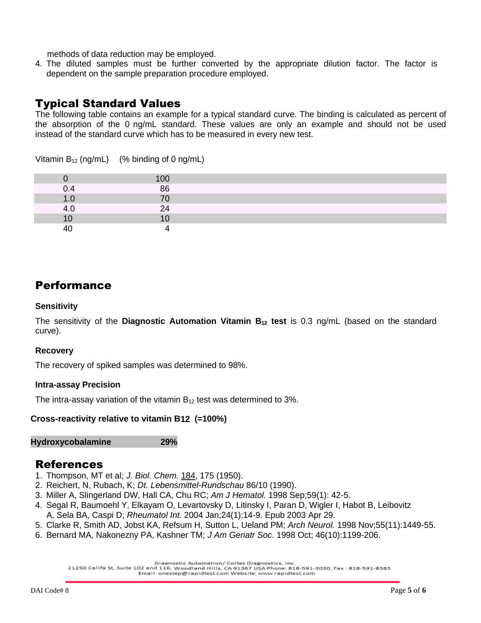methods of data reduction may be employed.

4. The diluted samples must be further converted by the appropriate dilution factor. The factor is dependent on the sample preparation procedure employed.

## Typical Standard Values

The following table contains an example for a typical standard curve. The binding is calculated as percent of the absorption of the 0 ng/mL standard. These values are only an example and should not be used instead of the standard curve which has to be measured in every new test.

```
Vitamin B_{12} (ng/mL) (% binding of 0 ng/mL)
```

| 0.4          | 86 |  |
|--------------|----|--|
| 1.0          |    |  |
| 4.0          | 24 |  |
| $\sim$<br>10 |    |  |
| 40           |    |  |

## Performance

#### **Sensitivity**

The sensitivity of the **Diagnostic Automation Vitamin B<sup>12</sup> test** is 0.3 ng/mL (based on the standard curve).

#### **Recovery**

The recovery of spiked samples was determined to 98%.

#### **Intra-assay Precision**

The intra-assay variation of the vitamin  $B_{12}$  test was determined to 3%.

#### **Cross-reactivity relative to vitamin B12 (=100%)**

#### **Hydroxycobalamine 29%**

## References

- 1. Thompson, MT et al; *J. Biol. Chem.* 184, 175 (1950).
- 2. Reichert, N, Rubach, K; *Dt. Lebensmittel-Rundschau* 86/10 (1990).
- 3. Miller A, Slingerland DW, Hall CA, Chu RC; *Am J Hematol.* 1998 Sep;59(1): 42-5.
- 4. Segal R, Baumoehl Y, Elkayam O, Levartovsky D, Litinsky I, Paran D, Wigler I, Habot B, Leibovitz A, Sela BA, Caspi D; *Rheumatol Int.* 2004 Jan;24(1):14-9. Epub 2003 Apr 29.
- 5. Clarke R, Smith AD, Jobst KA, Refsum H, Sutton L, Ueland PM; *Arch Neurol.* 1998 Nov;55(11):1449-55.
- 6. Bernard MA, Nakonezny PA, Kashner TM; *J Am Geriatr Soc.* 1998 Oct; 46(10):1199-206.

21250 Califa St, Suite 102 and 116, Woodland Hills, CA 91367 USA Phone: 818-591-3030, Fax: 818-591-8383 Email: onestep@rapidtest.com Website: www.rapidtest.com

Diagnostic Automation/ Cortez Diagnostics, Inc.